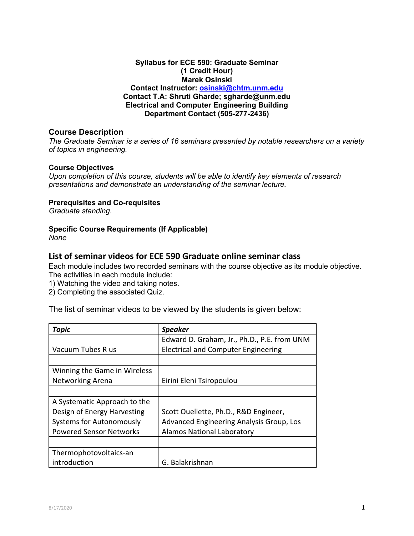## **Syllabus for ECE 590: Graduate Seminar (1 Credit Hour) Marek Osinski Contact Instructor: osinski@chtm.unm.edu Contact T.A: Shruti Gharde; sgharde@unm.edu Electrical and Computer Engineering Building Department Contact (505-277-2436)**

### **Course Description**

*The Graduate Seminar is a series of 16 seminars presented by notable researchers on a variety of topics in engineering.*

#### **Course Objectives**

*Upon completion of this course, students will be able to identify key elements of research presentations and demonstrate an understanding of the seminar lecture.*

#### **Prerequisites and Co-requisites**

*Graduate standing.*

#### **Specific Course Requirements (If Applicable)**

*None*

# **List of seminar videos for ECE 590 Graduate online seminar class**

Each module includes two recorded seminars with the course objective as its module objective. The activities in each module include:

1) Watching the video and taking notes.

2) Completing the associated Quiz.

The list of seminar videos to be viewed by the students is given below:

| Topic                           | <b>Speaker</b>                              |
|---------------------------------|---------------------------------------------|
|                                 | Edward D. Graham, Jr., Ph.D., P.E. from UNM |
| Vacuum Tubes R us               | <b>Electrical and Computer Engineering</b>  |
|                                 |                                             |
| Winning the Game in Wireless    |                                             |
| <b>Networking Arena</b>         | Eirini Eleni Tsiropoulou                    |
|                                 |                                             |
| A Systematic Approach to the    |                                             |
| Design of Energy Harvesting     | Scott Ouellette, Ph.D., R&D Engineer,       |
| <b>Systems for Autonomously</b> | Advanced Engineering Analysis Group, Los    |
| <b>Powered Sensor Networks</b>  | <b>Alamos National Laboratory</b>           |
|                                 |                                             |
| Thermophotovoltaics-an          |                                             |
| introduction                    | G. Balakrishnan                             |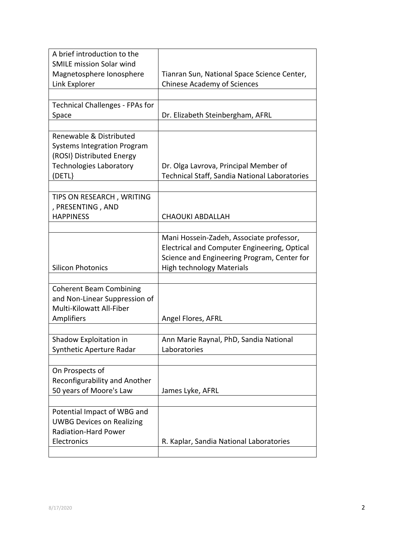| A brief introduction to the            |                                               |
|----------------------------------------|-----------------------------------------------|
| <b>SMILE mission Solar wind</b>        |                                               |
| Magnetosphere Ionosphere               | Tianran Sun, National Space Science Center,   |
| Link Explorer                          | <b>Chinese Academy of Sciences</b>            |
|                                        |                                               |
| <b>Technical Challenges - FPAs for</b> |                                               |
| Space                                  | Dr. Elizabeth Steinbergham, AFRL              |
|                                        |                                               |
| Renewable & Distributed                |                                               |
| <b>Systems Integration Program</b>     |                                               |
| (ROSI) Distributed Energy              |                                               |
| <b>Technologies Laboratory</b>         | Dr. Olga Lavrova, Principal Member of         |
| (DETL}                                 | Technical Staff, Sandia National Laboratories |
|                                        |                                               |
| TIPS ON RESEARCH, WRITING              |                                               |
| , PRESENTING, AND                      |                                               |
| <b>HAPPINESS</b>                       | <b>CHAOUKI ABDALLAH</b>                       |
|                                        |                                               |
|                                        | Mani Hossein-Zadeh, Associate professor,      |
|                                        | Electrical and Computer Engineering, Optical  |
|                                        | Science and Engineering Program, Center for   |
| <b>Silicon Photonics</b>               | <b>High technology Materials</b>              |
|                                        |                                               |
| <b>Coherent Beam Combining</b>         |                                               |
| and Non-Linear Suppression of          |                                               |
| Multi-Kilowatt All-Fiber               |                                               |
| Amplifiers                             | Angel Flores, AFRL                            |
|                                        |                                               |
| Shadow Exploitation in                 | Ann Marie Raynal, PhD, Sandia National        |
| Synthetic Aperture Radar               | Laboratories                                  |
|                                        |                                               |
| On Prospects of                        |                                               |
| Reconfigurability and Another          |                                               |
| 50 years of Moore's Law                | James Lyke, AFRL                              |
|                                        |                                               |
| Potential Impact of WBG and            |                                               |
| <b>UWBG Devices on Realizing</b>       |                                               |
| <b>Radiation-Hard Power</b>            |                                               |
| Electronics                            | R. Kaplar, Sandia National Laboratories       |
|                                        |                                               |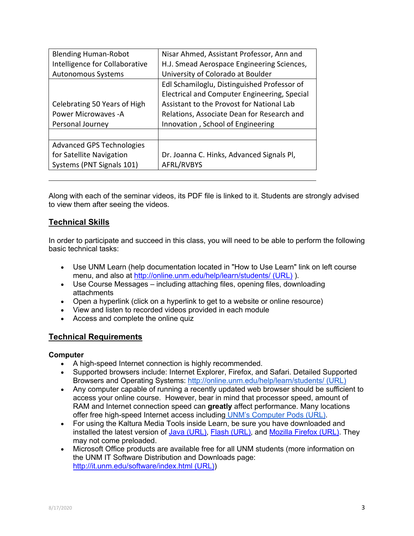| <b>Blending Human-Robot</b>      | Nisar Ahmed, Assistant Professor, Ann and    |  |
|----------------------------------|----------------------------------------------|--|
| Intelligence for Collaborative   | H.J. Smead Aerospace Engineering Sciences,   |  |
| <b>Autonomous Systems</b>        | University of Colorado at Boulder            |  |
|                                  | Edl Schamiloglu, Distinguished Professor of  |  |
|                                  | Electrical and Computer Engineering, Special |  |
| Celebrating 50 Years of High     | Assistant to the Provost for National Lab    |  |
| <b>Power Microwaves - A</b>      | Relations, Associate Dean for Research and   |  |
| Personal Journey                 | Innovation, School of Engineering            |  |
|                                  |                                              |  |
| <b>Advanced GPS Technologies</b> |                                              |  |
| for Satellite Navigation         | Dr. Joanna C. Hinks, Advanced Signals Pl,    |  |
| Systems (PNT Signals 101)        | AFRL/RVBYS                                   |  |

Along with each of the seminar videos, its PDF file is linked to it. Students are strongly advised to view them after seeing the videos.

# **Technical Skills**

In order to participate and succeed in this class, you will need to be able to perform the following basic technical tasks:

- Use UNM Learn (help documentation located in "How to Use Learn" link on left course menu, and also at http://online.unm.edu/help/learn/students/ (URL) ).
- Use Course Messages including attaching files, opening files, downloading attachments
- Open a hyperlink (click on a hyperlink to get to a website or online resource)
- View and listen to recorded videos provided in each module
- Access and complete the online quiz

## **Technical Requirements**

#### **Computer**

- A high-speed Internet connection is highly recommended.
- Supported browsers include: Internet Explorer, Firefox, and Safari. Detailed Supported Browsers and Operating Systems: http://online.unm.edu/help/learn/students/ (URL)
- Any computer capable of running a recently updated web browser should be sufficient to access your online course. However, bear in mind that processor speed, amount of RAM and Internet connection speed can **greatly** affect performance. Many locations offer free high-speed Internet access including UNM's Computer Pods (URL).
- For using the Kaltura Media Tools inside Learn, be sure you have downloaded and installed the latest version of Java (URL), Flash (URL), and Mozilla Firefox (URL). They may not come preloaded.
- Microsoft Office products are available free for all UNM students (more information on the UNM IT Software Distribution and Downloads page: http://it.unm.edu/software/index.html (URL))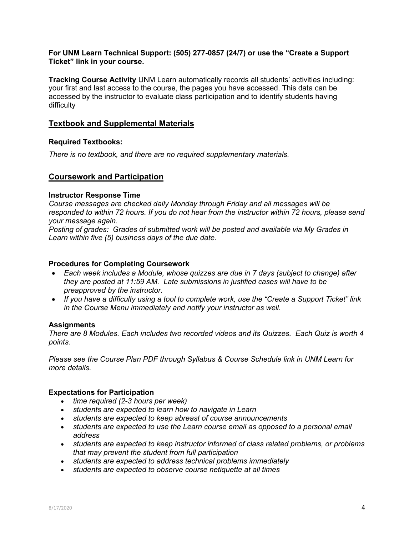#### **For UNM Learn Technical Support: (505) 277-0857 (24/7) or use the "Create a Support Ticket" link in your course.**

**Tracking Course Activity** UNM Learn automatically records all students' activities including: your first and last access to the course, the pages you have accessed. This data can be accessed by the instructor to evaluate class participation and to identify students having difficulty

# **Textbook and Supplemental Materials**

## **Required Textbooks:**

*There is no textbook, and there are no required supplementary materials.*

## **Coursework and Participation**

#### **Instructor Response Time**

*Course messages are checked daily Monday through Friday and all messages will be responded to within 72 hours. If you do not hear from the instructor within 72 hours, please send your message again.*

*Posting of grades: Grades of submitted work will be posted and available via My Grades in Learn within five (5) business days of the due date.*

### **Procedures for Completing Coursework**

- *Each week includes a Module, whose quizzes are due in 7 days (subject to change) after they are posted at 11:59 AM. Late submissions in justified cases will have to be preapproved by the instructor.*
- *If you have a difficulty using a tool to complete work, use the "Create a Support Ticket" link in the Course Menu immediately and notify your instructor as well.*

## **Assignments**

*There are 8 Modules. Each includes two recorded videos and its Quizzes. Each Quiz is worth 4 points.*

*Please see the Course Plan PDF through Syllabus & Course Schedule link in UNM Learn for more details.*

## **Expectations for Participation**

- *time required (2-3 hours per week)*
- *students are expected to learn how to navigate in Learn*
- *students are expected to keep abreast of course announcements*
- *students are expected to use the Learn course email as opposed to a personal email address*
- *students are expected to keep instructor informed of class related problems, or problems that may prevent the student from full participation*
- *students are expected to address technical problems immediately*
- *students are expected to observe course netiquette at all times*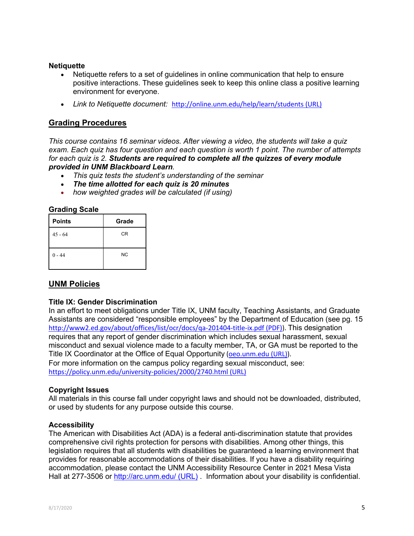#### **Netiquette**

- Netiquette refers to a set of guidelines in online communication that help to ensure positive interactions. These guidelines seek to keep this online class a positive learning environment for everyone.
- *Link to Netiquette document:* http://online.unm.edu/help/learn/students (URL)

# **Grading Procedures**

*This course contains 16 seminar videos. After viewing a video, the students will take a quiz exam. Each quiz has four question and each question is worth 1 point. The number of attempts for each quiz is 2. Students are required to complete all the quizzes of every module provided in UNM Blackboard Learn.* 

- *This quiz tests the student's understanding of the seminar*
- *The time allotted for each quiz is 20 minutes*
- *how weighted grades will be calculated (if using)*

#### **Grading Scale**

| <b>Points</b> | Grade     |
|---------------|-----------|
| $45 - 64$     | CR        |
| $0 - 44$      | <b>NC</b> |

# **UNM Policies**

#### **Title IX: Gender Discrimination**

In an effort to meet obligations under Title IX, UNM faculty, Teaching Assistants, and Graduate Assistants are considered "responsible employees" by the Department of Education (see pg. 15 http://www2.ed.gov/about/offices/list/ocr/docs/qa-201404-title-ix.pdf (PDF)). This designation requires that any report of gender discrimination which includes sexual harassment, sexual misconduct and sexual violence made to a faculty member, TA, or GA must be reported to the Title IX Coordinator at the Office of Equal Opportunity (oeo.unm.edu (URL)). For more information on the campus policy regarding sexual misconduct, see: https://policy.unm.edu/university-policies/2000/2740.html (URL)

## **Copyright Issues**

All materials in this course fall under copyright laws and should not be downloaded, distributed, or used by students for any purpose outside this course.

#### **Accessibility**

The American with Disabilities Act (ADA) is a federal anti-discrimination statute that provides comprehensive civil rights protection for persons with disabilities. Among other things, this legislation requires that all students with disabilities be guaranteed a learning environment that provides for reasonable accommodations of their disabilities. If you have a disability requiring accommodation, please contact the UNM Accessibility Resource Center in 2021 Mesa Vista Hall at 277-3506 or http://arc.unm.edu/ (URL). Information about your disability is confidential.